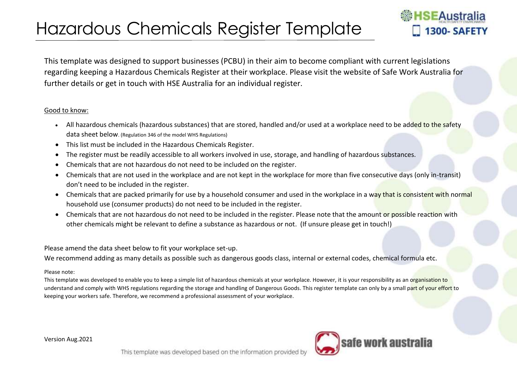## Hazardous Chemicals Register Template

## **SEAustralia** 1300-SAFETY

This template was designed to support businesses (PCBU) in their aim to become compliant with current legislations regarding keeping a Hazardous Chemicals Register at their workplace. Please visit the website of Safe Work Australia for further details or get in touch with HSE Australia for an individual register.

## Good to know:

- All hazardous chemicals (hazardous substances) that are stored, handled and/or used at a workplace need to be added to the safety data sheet below. (Regulation 346 of the model WHS Regulations)
- This list must be included in the Hazardous Chemicals Register.
- The register must be readily accessible to all workers involved in use, storage, and handling of hazardous substances.
- Chemicals that are not hazardous do not need to be included on the register.
- Chemicals that are not used in the workplace and are not kept in the workplace for more than five consecutive days (only in-transit) don't need to be included in the register.
- Chemicals that are packed primarily for use by a household consumer and used in the workplace in a way that is consistent with normal household use (consumer products) do not need to be included in the register.
- Chemicals that are not hazardous do not need to be included in the register. Please note that the amount or possible reaction with other chemicals might be relevant to define a substance as hazardous or not. (If unsure please get in touch!)

Please amend the data sheet below to fit your workplace set-up.

We recommend adding as many details as possible such as dangerous goods class, internal or external codes, chemical formula etc.

## Please note:

This template was developed to enable you to keep a simple list of hazardous chemicals at your workplace. However, it is your responsibility as an organisation to understand and comply with WHS regulations regarding the storage and handling of Dangerous Goods. This register template can only by a small part of your effort to keeping your workers safe. Therefore, we recommend a professional assessment of your workplace.

Version Aug.2021